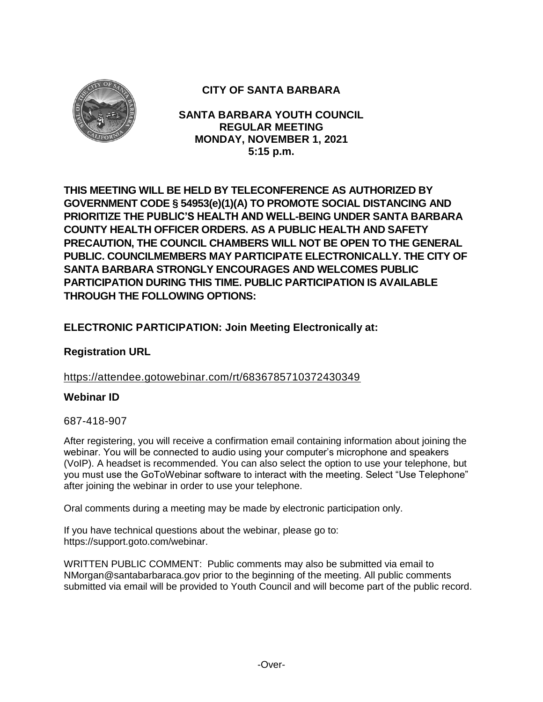

# **CITY OF SANTA BARBARA**

**SANTA BARBARA YOUTH COUNCIL REGULAR MEETING MONDAY, NOVEMBER 1, 2021 5:15 p.m.**

**THIS MEETING WILL BE HELD BY TELECONFERENCE AS AUTHORIZED BY GOVERNMENT CODE § 54953(e)(1)(A) TO PROMOTE SOCIAL DISTANCING AND PRIORITIZE THE PUBLIC'S HEALTH AND WELL-BEING UNDER SANTA BARBARA COUNTY HEALTH OFFICER ORDERS. AS A PUBLIC HEALTH AND SAFETY PRECAUTION, THE COUNCIL CHAMBERS WILL NOT BE OPEN TO THE GENERAL PUBLIC. COUNCILMEMBERS MAY PARTICIPATE ELECTRONICALLY. THE CITY OF SANTA BARBARA STRONGLY ENCOURAGES AND WELCOMES PUBLIC PARTICIPATION DURING THIS TIME. PUBLIC PARTICIPATION IS AVAILABLE THROUGH THE FOLLOWING OPTIONS:**

# **ELECTRONIC PARTICIPATION: Join Meeting Electronically at:**

# **Registration URL**

# <https://attendee.gotowebinar.com/rt/6836785710372430349>

# **Webinar ID**

### 687-418-907

After registering, you will receive a confirmation email containing information about joining the webinar. You will be connected to audio using your computer's microphone and speakers (VoIP). A headset is recommended. You can also select the option to use your telephone, but you must use the GoToWebinar software to interact with the meeting. Select "Use Telephone" after joining the webinar in order to use your telephone.

Oral comments during a meeting may be made by electronic participation only.

If you have technical questions about the webinar, please go to: https://support.goto.com/webinar.

WRITTEN PUBLIC COMMENT: Public comments may also be submitted via email to NMorgan@santabarbaraca.gov prior to the beginning of the meeting. All public comments submitted via email will be provided to Youth Council and will become part of the public record.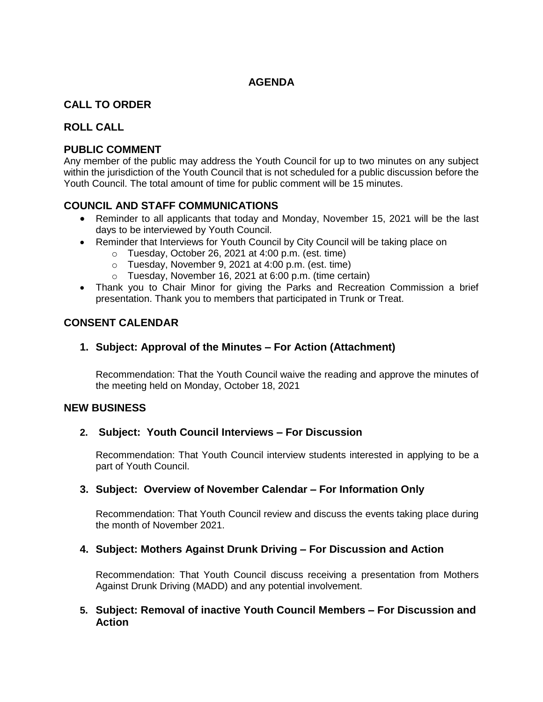# **AGENDA**

# **CALL TO ORDER**

### **ROLL CALL**

### **PUBLIC COMMENT**

Any member of the public may address the Youth Council for up to two minutes on any subject within the jurisdiction of the Youth Council that is not scheduled for a public discussion before the Youth Council. The total amount of time for public comment will be 15 minutes.

### **COUNCIL AND STAFF COMMUNICATIONS**

- Reminder to all applicants that today and Monday, November 15, 2021 will be the last days to be interviewed by Youth Council.
- Reminder that Interviews for Youth Council by City Council will be taking place on
	- o Tuesday, October 26, 2021 at 4:00 p.m. (est. time)
	- o Tuesday, November 9, 2021 at 4:00 p.m. (est. time)
	- o Tuesday, November 16, 2021 at 6:00 p.m. (time certain)
- Thank you to Chair Minor for giving the Parks and Recreation Commission a brief presentation. Thank you to members that participated in Trunk or Treat.

# **CONSENT CALENDAR**

# **1. Subject: Approval of the Minutes – For Action (Attachment)**

Recommendation: That the Youth Council waive the reading and approve the minutes of the meeting held on Monday, October 18, 2021

### **NEW BUSINESS**

### **2. Subject: Youth Council Interviews – For Discussion**

Recommendation: That Youth Council interview students interested in applying to be a part of Youth Council.

### **3. Subject: Overview of November Calendar – For Information Only**

Recommendation: That Youth Council review and discuss the events taking place during the month of November 2021.

### **4. Subject: Mothers Against Drunk Driving – For Discussion and Action**

Recommendation: That Youth Council discuss receiving a presentation from Mothers Against Drunk Driving (MADD) and any potential involvement.

### **5. Subject: Removal of inactive Youth Council Members – For Discussion and Action**